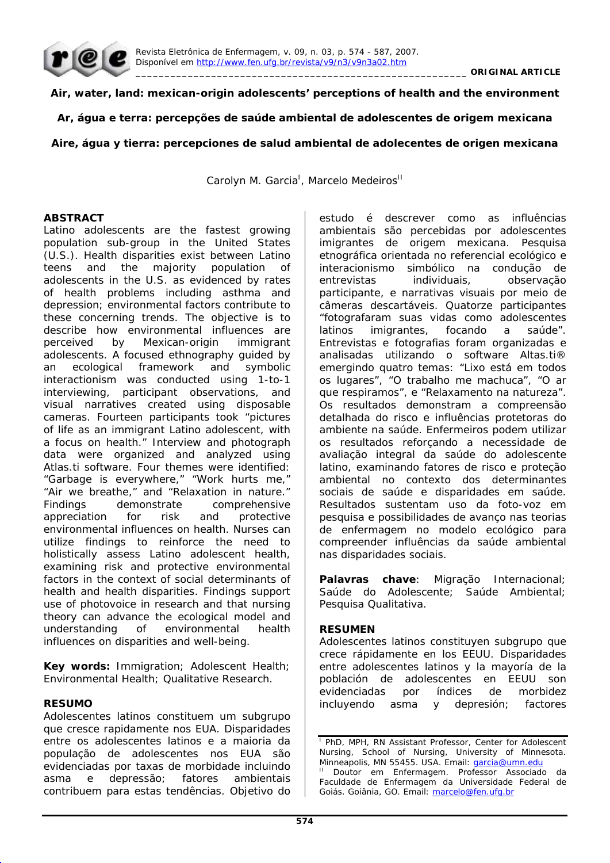

**Air, water, land: mexican-origin adolescents' perceptions of health and the environment** 

**Ar, água e terra: percepções de saúde ambiental de adolescentes de origem mexicana** 

# **Aire, água y tierra: percepciones de salud ambiental de adolecentes de origen mexicana**

Carolyn M. Garcia<sup>l</sup>, Marcelo Medeiros<sup>II</sup>

## **ABSTRACT**

Latino adolescents are the fastest growing population sub-group in the United States (U.S.). Health disparities exist between Latino teens and the majority population of adolescents in the U.S. as evidenced by rates of health problems including asthma and depression; environmental factors contribute to these concerning trends. The objective is to describe how environmental influences are perceived by Mexican-origin immigrant adolescents. A focused ethnography guided by an ecological framework and symbolic interactionism was conducted using 1-to-1 interviewing, participant observations, and visual narratives created using disposable cameras. Fourteen participants took "pictures of life as an immigrant Latino adolescent, with a focus on health." Interview and photograph data were organized and analyzed using Atlas.ti software. Four themes were identified: "Garbage is everywhere," "Work hurts me," "Air we breathe," and "Relaxation in nature." Findings demonstrate comprehensive appreciation for risk and protective environmental influences on health. Nurses can utilize findings to reinforce the need to holistically assess Latino adolescent health, examining risk and protective environmental factors in the context of social determinants of health and health disparities. Findings support use of photovoice in research and that nursing theory can advance the ecological model and understanding of environmental health influences on disparities and well-being.

**Key words:** Immigration; Adolescent Health; Environmental Health; Qualitative Research.

# **RESUMO**

Adolescentes latinos constituem um subgrupo que cresce rapidamente nos EUA. Disparidades entre os adolescentes latinos e a maioria da população de adolescentes nos EUA são evidenciadas por taxas de morbidade incluindo asma e depressão; fatores ambientais contribuem para estas tendências. Objetivo do estudo é descrever como as influências ambientais são percebidas por adolescentes imigrantes de origem mexicana. Pesquisa etnográfica orientada no referencial ecológico e interacionismo simbólico na condução de entrevistas individuais, observação participante, e narrativas visuais por meio de câmeras descartáveis. Quatorze participantes "fotografaram suas vidas como adolescentes latinos imigrantes, focando a saúde". Entrevistas e fotografias foram organizadas e analisadas utilizando o software Altas.ti® emergindo quatro temas: "Lixo está em todos os lugares", "O trabalho me machuca", "O ar que respiramos", e "Relaxamento na natureza". Os resultados demonstram a compreensão detalhada do risco e influências protetoras do ambiente na saúde. Enfermeiros podem utilizar os resultados reforçando a necessidade de avaliação integral da saúde do adolescente latino, examinando fatores de risco e proteção ambiental no contexto dos determinantes sociais de saúde e disparidades em saúde. Resultados sustentam uso da foto-voz em pesquisa e possibilidades de avanço nas teorias de enfermagem no modelo ecológico para compreender influências da saúde ambiental nas disparidades sociais.

**Palavras chave**: Migração Internacional; Saúde do Adolescente; Saúde Ambiental; Pesquisa Qualitativa.

# **RESUMEN**

Adolescentes latinos constituyen subgrupo que crece rápidamente en los EEUU. Disparidades entre adolescentes latinos y la mayoría de la población de adolescentes en EEUU son evidenciadas por índices de morbidez incluyendo asma y depresión; factores

<sup>&</sup>lt;sup>1</sup> PhD, MPH, RN Assistant Professor, Center for Adolescent Nursing, School of Nursing, University of Minnesota. Minneapolis, MN 55455. USA. Email: garcia@umn.edu

Doutor em Enfermagem. Professor Associado da Faculdade de Enfermagem da Universidade Federal de Goiás. Goiânia, GO. Email: marcelo@fen.ufq.br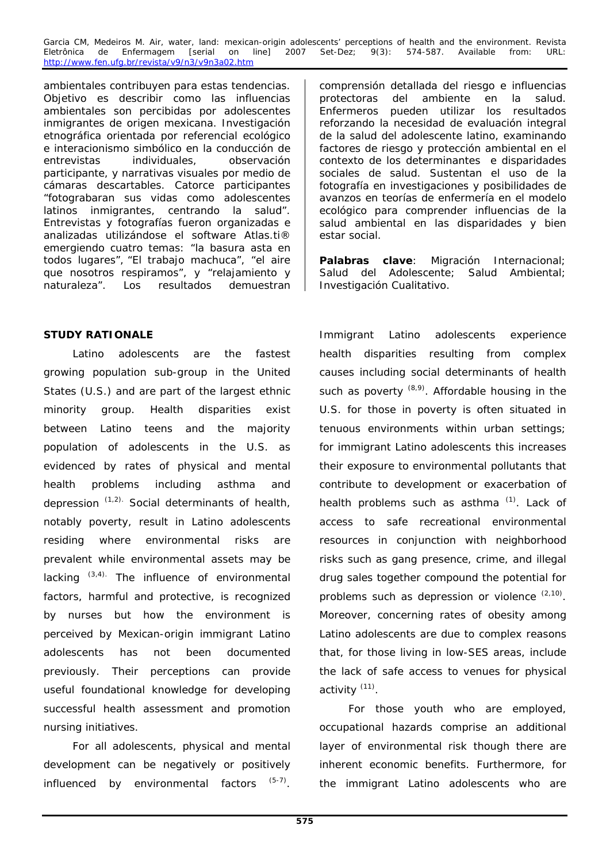ambientales contribuyen para estas tendencias. Objetivo es describir como las influencias ambientales son percibidas por adolescentes inmigrantes de origen mexicana. Investigación etnográfica orientada por referencial ecológico e interacionismo simbólico en la conducción de entrevistas individuales, observación participante, y narrativas visuales por medio de cámaras descartables. Catorce participantes "fotograbaran sus vidas como adolescentes latinos inmigrantes, centrando la salud". Entrevistas y fotografías fueron organizadas e analizadas utilizándose el software Atlas.ti® emergiendo cuatro temas: "la basura asta en todos lugares", "El trabajo machuca", "el aire que nosotros respiramos", y "relajamiento y naturaleza". Los resultados demuestran

# **STUDY RATIONALE**

Latino adolescents are the fastest growing population sub-group in the United States (U.S.) and are part of the largest ethnic minority group. Health disparities exist between Latino teens and the majority population of adolescents in the U.S. as evidenced by rates of physical and mental health problems including asthma and depression  $(1,2)$ . Social determinants of health, notably poverty, result in Latino adolescents residing where environmental risks are prevalent while environmental assets may be lacking  $(3,4)$ . The influence of environmental factors, harmful and protective, is recognized by nurses but how the environment is perceived by Mexican-origin immigrant Latino adolescents has not been documented previously. Their perceptions can provide useful foundational knowledge for developing successful health assessment and promotion nursing initiatives.

For all adolescents, physical and mental development can be negatively or positively influenced by environmental factors  $(5-7)$ .

comprensión detallada del riesgo e influencias protectoras del ambiente en la salud. Enfermeros pueden utilizar los resultados reforzando la necesidad de evaluación integral de la salud del adolescente latino, examinando factores de riesgo y protección ambiental en el contexto de los determinantes e disparidades sociales de salud. Sustentan el uso de la fotografía en investigaciones y posibilidades de avanzos en teorías de enfermería en el modelo ecológico para comprender influencias de la salud ambiental en las disparidades y bien estar social.

**Palabras clave**: Migración Internacional; Salud del Adolescente; Salud Ambiental; Investigación Cualitativo.

Immigrant Latino adolescents experience health disparities resulting from complex causes including social determinants of health such as poverty  $(8,9)$ . Affordable housing in the U.S. for those in poverty is often situated in tenuous environments within urban settings; for immigrant Latino adolescents this increases their exposure to environmental pollutants that contribute to development or exacerbation of health problems such as asthma  $(1)$ . Lack of access to safe recreational environmental resources in conjunction with neighborhood risks such as gang presence, crime, and illegal drug sales together compound the potential for problems such as depression or violence  $(2,10)$ . Moreover, concerning rates of obesity among Latino adolescents are due to complex reasons that, for those living in low-SES areas, include the lack of safe access to venues for physical activity (11).

For those youth who are employed, occupational hazards comprise an additional layer of environmental risk though there are inherent economic benefits. Furthermore, for the immigrant Latino adolescents who are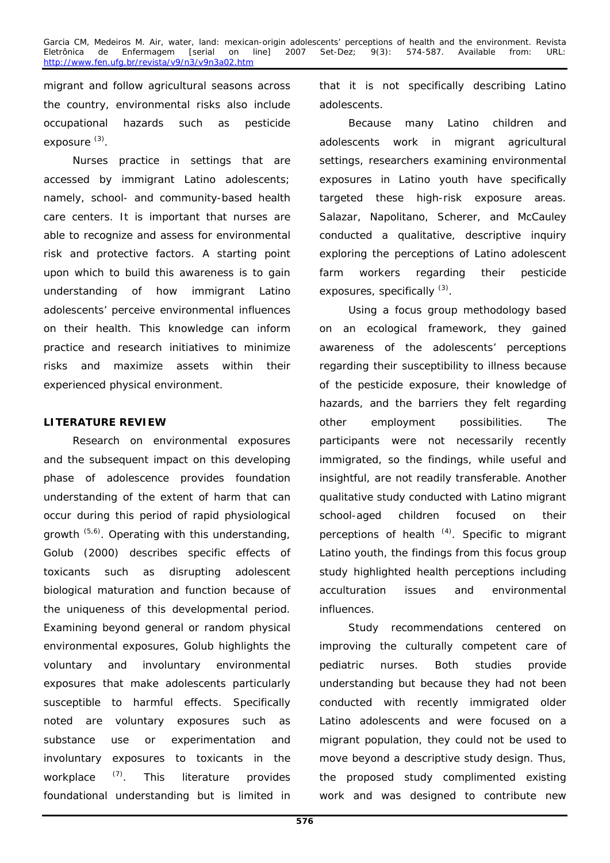Garcia CM, Medeiros M. Air, water, land: mexican-origin adolescents' perceptions of health and the environment. Revista<br>Eletrônica de Enfermagem [serial on line] 2007 Set-Dez; 9(3): 574-587. Available from: URL: Eletrônica de Enfermagem [serial on line] 2007 Set-Dez; 9(3): 574-587. Available from: URL: http://www.fen.ufg.br/revista/v9/n3/v9n3a02.htm

migrant and follow agricultural seasons across the country, environmental risks also include occupational hazards such as pesticide exposure (3).

Nurses practice in settings that are accessed by immigrant Latino adolescents; namely, school- and community-based health care centers. It is important that nurses are able to recognize and assess for environmental risk and protective factors. A starting point upon which to build this awareness is to gain understanding of how immigrant Latino adolescents' perceive environmental influences on their health. This knowledge can inform practice and research initiatives to minimize risks and maximize assets within their experienced physical environment.

### **LITERATURE REVIEW**

Research on environmental exposures and the subsequent impact on this developing phase of adolescence provides foundation understanding of the extent of harm that can occur during this period of rapid physiological growth (5,6). Operating with this understanding, Golub (2000) describes specific effects of toxicants such as disrupting adolescent biological maturation and function because of the uniqueness of this developmental period. Examining beyond general or random physical environmental exposures, Golub highlights the voluntary and involuntary environmental exposures that make adolescents particularly susceptible to harmful effects. Specifically noted are voluntary exposures such as substance use or experimentation and involuntary exposures to toxicants in the workplace <sup>(7)</sup>. This literature provides foundational understanding but is limited in

that it is not specifically describing Latino adolescents.

Because many Latino children and adolescents work in migrant agricultural settings, researchers examining environmental exposures in Latino youth have specifically targeted these high-risk exposure areas. Salazar, Napolitano, Scherer, and McCauley conducted a qualitative, descriptive inquiry exploring the perceptions of Latino adolescent farm workers regarding their pesticide exposures, specifically  $(3)$ .

Using a focus group methodology based on an ecological framework, they gained awareness of the adolescents' perceptions regarding their susceptibility to illness because of the pesticide exposure, their knowledge of hazards, and the barriers they felt regarding other employment possibilities. The participants were not necessarily recently immigrated, so the findings, while useful and insightful, are not readily transferable. Another qualitative study conducted with Latino migrant school-aged children focused on their perceptions of health  $(4)$ . Specific to migrant Latino youth, the findings from this focus group study highlighted health perceptions including acculturation issues and environmental influences.

Study recommendations centered on improving the culturally competent care of pediatric nurses. Both studies provide understanding but because they had not been conducted with recently immigrated older Latino adolescents and were focused on a migrant population, they could not be used to move beyond a descriptive study design. Thus, the proposed study complimented existing work and was designed to contribute new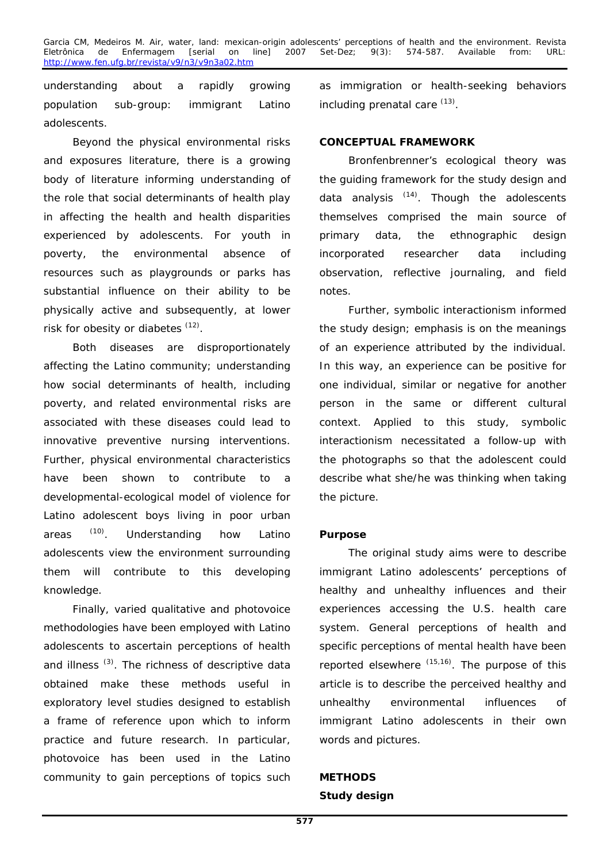understanding about a rapidly growing population sub-group: immigrant Latino adolescents.

Beyond the physical environmental risks and exposures literature, there is a growing body of literature informing understanding of the role that social determinants of health play in affecting the health and health disparities experienced by adolescents. For youth in poverty, the environmental absence of resources such as playgrounds or parks has substantial influence on their ability to be physically active and subsequently, at lower risk for obesity or diabetes  $(12)$ .

Both diseases are disproportionately affecting the Latino community; understanding how social determinants of health, including poverty, and related environmental risks are associated with these diseases could lead to innovative preventive nursing interventions. Further, physical environmental characteristics have been shown to contribute to a developmental-ecological model of violence for Latino adolescent boys living in poor urban areas (10). Understanding how Latino adolescents view the environment surrounding them will contribute to this developing knowledge.

Finally, varied qualitative and photovoice methodologies have been employed with Latino adolescents to ascertain perceptions of health and illness<sup>(3)</sup>. The richness of descriptive data obtained make these methods useful in exploratory level studies designed to establish a frame of reference upon which to inform practice and future research. In particular, photovoice has been used in the Latino community to gain perceptions of topics such

as immigration or health-seeking behaviors including prenatal care  $(13)$ .

# **CONCEPTUAL FRAMEWORK**

Bronfenbrenner's ecological theory was the guiding framework for the study design and data analysis  $(14)$ . Though the adolescents themselves comprised the main source of primary data, the ethnographic design incorporated researcher data including observation, reflective journaling, and field notes.

Further, symbolic interactionism informed the study design; emphasis is on the meanings of an experience attributed by the individual. In this way, an experience can be positive for one individual, similar or negative for another person in the same or different cultural context. Applied to this study, symbolic interactionism necessitated a follow-up with the photographs so that the adolescent could describe what she/he was thinking when taking the picture.

# **Purpose**

The original study aims were to describe immigrant Latino adolescents' perceptions of healthy and unhealthy influences and their experiences accessing the U.S. health care system. General perceptions of health and specific perceptions of mental health have been reported elsewhere  $(15,16)$ . The purpose of this article is to describe the perceived healthy and unhealthy environmental influences of immigrant Latino adolescents in their own words and pictures.

# **METHODS Study design**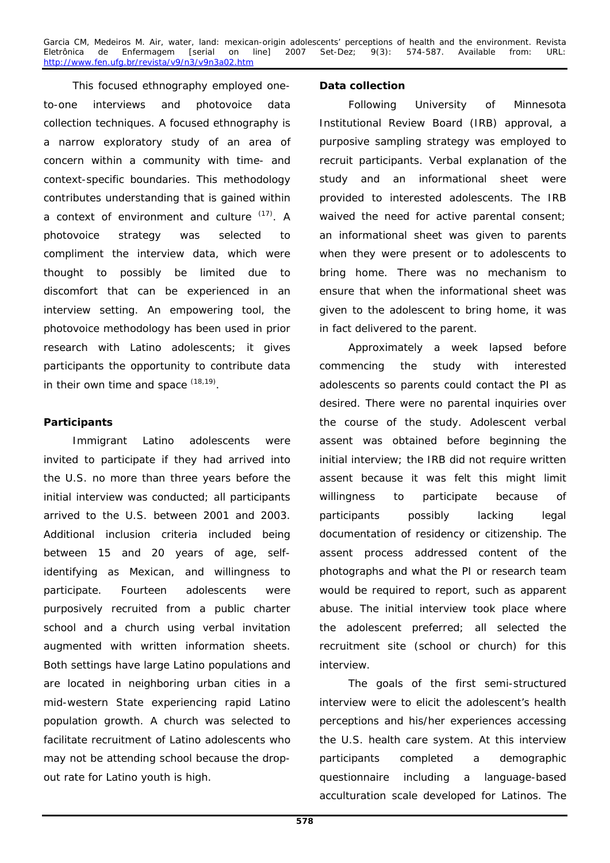Garcia CM, Medeiros M. Air, water, land: mexican-origin adolescents' perceptions of health and the environment. Revista<br>Eletrônica de Enfermagem [serial on line] 2007 Set-Dez; 9(3): 574-587. Available from: URL: Eletrônica de Enfermagem [serial on line] 2007 Set-Dez; 9(3): 574-587. Available from: URL: http://www.fen.ufg.br/revista/v9/n3/v9n3a02.htm

This focused ethnography employed oneto-one interviews and photovoice data collection techniques. A focused ethnography is a narrow exploratory study of an area of concern within a community with time- and context-specific boundaries. This methodology contributes understanding that is gained within a context of environment and culture (17). A photovoice strategy was selected to compliment the interview data, which were thought to possibly be limited due to discomfort that can be experienced in an interview setting. An empowering tool, the photovoice methodology has been used in prior research with Latino adolescents; it gives participants the opportunity to contribute data in their own time and space  $(18,19)$ .

# **Participants**

Immigrant Latino adolescents were invited to participate if they had arrived into the U.S. no more than three years before the initial interview was conducted; all participants arrived to the U.S. between 2001 and 2003. Additional inclusion criteria included being between 15 and 20 years of age, selfidentifying as Mexican, and willingness to participate. Fourteen adolescents were purposively recruited from a public charter school and a church using verbal invitation augmented with written information sheets. Both settings have large Latino populations and are located in neighboring urban cities in a mid-western State experiencing rapid Latino population growth. A church was selected to facilitate recruitment of Latino adolescents who may not be attending school because the dropout rate for Latino youth is high.

### **Data collection**

Following University of Minnesota Institutional Review Board (IRB) approval, a purposive sampling strategy was employed to recruit participants. Verbal explanation of the study and an informational sheet were provided to interested adolescents. The IRB waived the need for active parental consent; an informational sheet was given to parents when they were present or to adolescents to bring home. There was no mechanism to ensure that when the informational sheet was given to the adolescent to bring home, it was in fact delivered to the parent.

Approximately a week lapsed before commencing the study with interested adolescents so parents could contact the PI as desired. There were no parental inquiries over the course of the study. Adolescent verbal assent was obtained before beginning the initial interview; the IRB did not require written assent because it was felt this might limit willingness to participate because of participants possibly lacking legal documentation of residency or citizenship. The assent process addressed content of the photographs and what the PI or research team would be required to report, such as apparent abuse. The initial interview took place where the adolescent preferred; all selected the recruitment site (school or church) for this interview.

The goals of the first semi-structured interview were to elicit the adolescent's health perceptions and his/her experiences accessing the U.S. health care system. At this interview participants completed a demographic questionnaire including a language-based acculturation scale developed for Latinos. The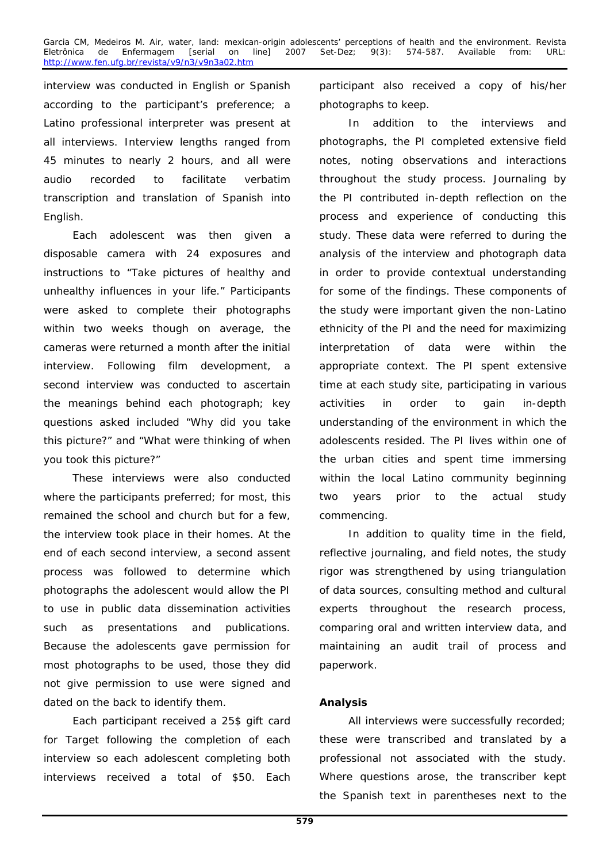interview was conducted in English or Spanish according to the participant's preference; a Latino professional interpreter was present at all interviews. Interview lengths ranged from 45 minutes to nearly 2 hours, and all were audio recorded to facilitate verbatim transcription and translation of Spanish into English.

Each adolescent was then given a disposable camera with 24 exposures and instructions to "Take pictures of healthy and unhealthy influences in your life." Participants were asked to complete their photographs within two weeks though on average, the cameras were returned a month after the initial interview. Following film development, a second interview was conducted to ascertain the meanings behind each photograph; key questions asked included "Why did you take this picture?" and "What were thinking of when you took this picture?"

These interviews were also conducted where the participants preferred; for most, this remained the school and church but for a few, the interview took place in their homes. At the end of each second interview, a second assent process was followed to determine which photographs the adolescent would allow the PI to use in public data dissemination activities such as presentations and publications. Because the adolescents gave permission for most photographs to be used, those they did not give permission to use were signed and dated on the back to identify them.

Each participant received a 25\$ gift card for Target following the completion of each interview so each adolescent completing both interviews received a total of \$50. Each

participant also received a copy of his/her photographs to keep.

In addition to the interviews and photographs, the PI completed extensive field notes, noting observations and interactions throughout the study process. Journaling by the PI contributed in-depth reflection on the process and experience of conducting this study. These data were referred to during the analysis of the interview and photograph data in order to provide contextual understanding for some of the findings. These components of the study were important given the non-Latino ethnicity of the PI and the need for maximizing interpretation of data were within the appropriate context. The PI spent extensive time at each study site, participating in various activities in order to gain in-depth understanding of the environment in which the adolescents resided. The PI lives within one of the urban cities and spent time immersing within the local Latino community beginning two years prior to the actual study commencing.

In addition to quality time in the field, reflective journaling, and field notes, the study rigor was strengthened by using triangulation of data sources, consulting method and cultural experts throughout the research process, comparing oral and written interview data, and maintaining an audit trail of process and paperwork.

# **Analysis**

All interviews were successfully recorded; these were transcribed and translated by a professional not associated with the study. Where questions arose, the transcriber kept the Spanish text in parentheses next to the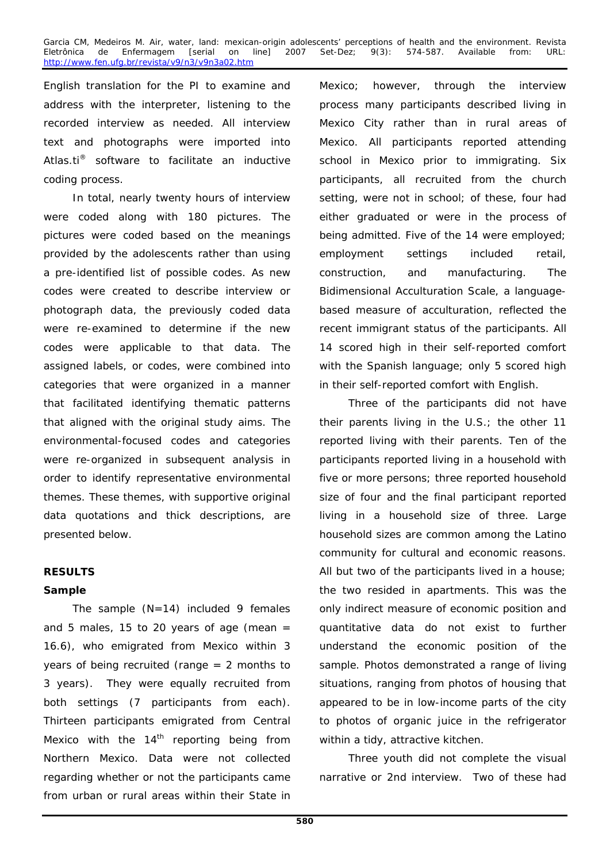English translation for the PI to examine and address with the interpreter, listening to the recorded interview as needed. All interview text and photographs were imported into *Atlas.ti®* software to facilitate an inductive coding process.

In total, nearly twenty hours of interview were coded along with 180 pictures. The pictures were coded based on the meanings provided by the adolescents rather than using a pre-identified list of possible codes. As new codes were created to describe interview or photograph data, the previously coded data were re-examined to determine if the new codes were applicable to that data. The assigned labels, or codes, were combined into categories that were organized in a manner that facilitated identifying thematic patterns that aligned with the original study aims. The environmental-focused codes and categories were re-organized in subsequent analysis in order to identify representative environmental themes. These themes, with supportive original data quotations and thick descriptions, are presented below.

### **RESULTS**

### **Sample**

The sample  $(N=14)$  included 9 females and 5 males, 15 to 20 years of age (mean  $=$ 16.6), who emigrated from Mexico within 3 years of being recruited (range = 2 months to 3 years). They were equally recruited from both settings (7 participants from each). Thirteen participants emigrated from Central Mexico with the  $14<sup>th</sup>$  reporting being from Northern Mexico. Data were not collected regarding whether or not the participants came from urban or rural areas within their State in

Mexico; however, through the interview process many participants described living in Mexico City rather than in rural areas of Mexico. All participants reported attending school in Mexico prior to immigrating. Six participants, all recruited from the church setting, were not in school; of these, four had either graduated or were in the process of being admitted. Five of the 14 were employed; employment settings included retail, construction, and manufacturing. The Bidimensional Acculturation Scale, a languagebased measure of acculturation, reflected the recent immigrant status of the participants. All 14 scored high in their self-reported comfort with the Spanish language; only 5 scored high in their self-reported comfort with English.

Three of the participants did not have their parents living in the U.S.; the other 11 reported living with their parents. Ten of the participants reported living in a household with five or more persons; three reported household size of four and the final participant reported living in a household size of three. Large household sizes are common among the Latino community for cultural and economic reasons. All but two of the participants lived in a house; the two resided in apartments. This was the only indirect measure of economic position and quantitative data do not exist to further understand the economic position of the sample. Photos demonstrated a range of living situations, ranging from photos of housing that appeared to be in low-income parts of the city to photos of organic juice in the refrigerator within a tidy, attractive kitchen.

Three youth did not complete the visual narrative or 2nd interview. Two of these had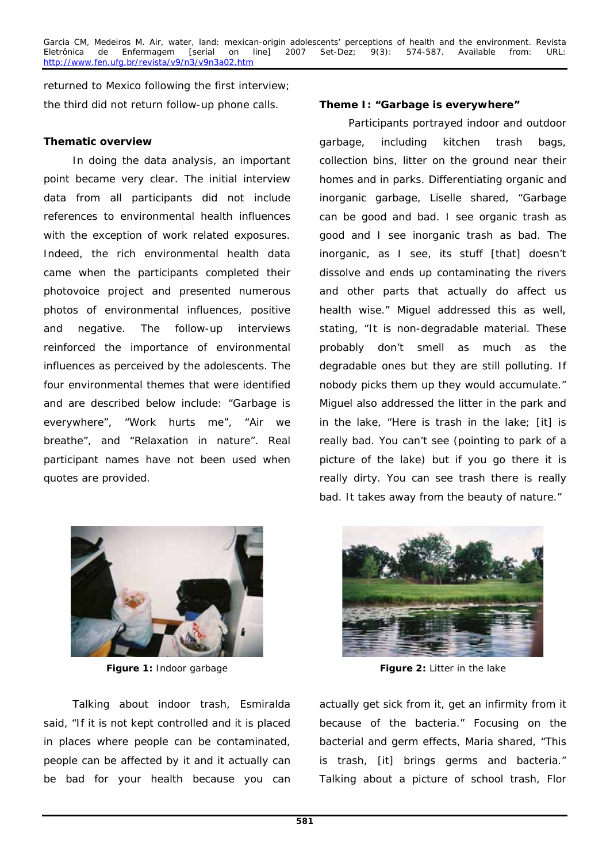returned to Mexico following the first interview; the third did not return follow-up phone calls. **Theme I: "Garbage is everywhere"** 

### **Thematic overview**

In doing the data analysis, an important point became very clear. The initial interview data from all participants did not include references to environmental health influences with the exception of work related exposures. Indeed, the rich environmental health data came when the participants completed their photovoice project and presented numerous photos of environmental influences, positive and negative. The follow-up interviews reinforced the importance of environmental influences as perceived by the adolescents. The four environmental themes that were identified and are described below include: "Garbage is everywhere", "Work hurts me", "Air we breathe", and "Relaxation in nature". Real participant names have not been used when quotes are provided.



**Figure 1:** Indoor garbage **Figure 2:** Litter in the lake

Talking about indoor trash, Esmiralda said, "If it is not kept controlled and it is placed in places where people can be contaminated, people can be affected by it and it actually can be bad for your health because you can

Participants portrayed indoor and outdoor garbage, including kitchen trash bags, collection bins, litter on the ground near their homes and in parks. Differentiating organic and inorganic garbage, Liselle shared, "Garbage can be good and bad. I see organic trash as good and I see inorganic trash as bad. The inorganic, as I see, its stuff [that] doesn't dissolve and ends up contaminating the rivers and other parts that actually do affect us health wise." Miguel addressed this as well, stating, "It is non-degradable material. These probably don't smell as much as the degradable ones but they are still polluting. If nobody picks them up they would accumulate." Miguel also addressed the litter in the park and in the lake, "Here is trash in the lake; [it] is really bad. You can't see (pointing to park of a picture of the lake) but if you go there it is really dirty. You can see trash there is really bad. It takes away from the beauty of nature."



actually get sick from it, get an infirmity from it because of the bacteria." Focusing on the bacterial and germ effects, Maria shared, "This is trash, [it] brings germs and bacteria." Talking about a picture of school trash, Flor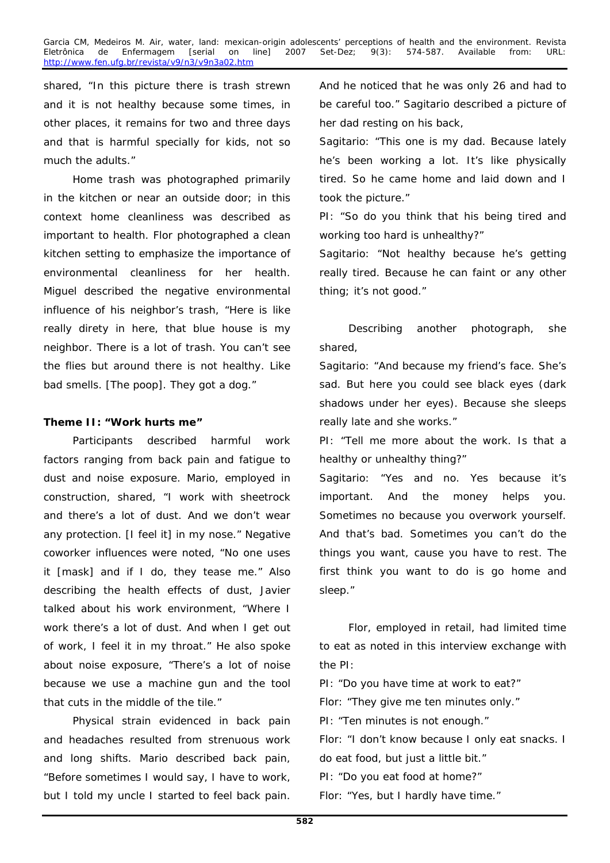shared, "In this picture there is trash strewn and it is not healthy because some times, in other places, it remains for two and three days and that is harmful specially for kids, not so much the adults."

Home trash was photographed primarily in the kitchen or near an outside door; in this context home cleanliness was described as important to health. Flor photographed a clean kitchen setting to emphasize the importance of environmental cleanliness for her health. Miguel described the negative environmental influence of his neighbor's trash, "Here is like really direty in here, that blue house is my neighbor. There is a lot of trash. You can't see the flies but around there is not healthy. Like bad smells. [The poop]. They got a dog."

### **Theme II: "Work hurts me"**

Participants described harmful work factors ranging from back pain and fatigue to dust and noise exposure. Mario, employed in construction, shared, "I work with sheetrock and there's a lot of dust. And we don't wear any protection. [I feel it] in my nose." Negative coworker influences were noted, "No one uses it [mask] and if I do, they tease me." Also describing the health effects of dust, Javier talked about his work environment, "Where I work there's a lot of dust. And when I get out of work, I feel it in my throat." He also spoke about noise exposure, "There's a lot of noise because we use a machine gun and the tool that cuts in the middle of the tile."

Physical strain evidenced in back pain and headaches resulted from strenuous work and long shifts. Mario described back pain, "Before sometimes I would say, I have to work, but I told my uncle I started to feel back pain.

And he noticed that he was only 26 and had to be careful too." Sagitario described a picture of her dad resting on his back,

*Sagitario: "This one is my dad. Because lately he's been working a lot. It's like physically tired. So he came home and laid down and I took the picture."* 

*PI: "So do you think that his being tired and working too hard is unhealthy?"* 

*Sagitario: "Not healthy because he's getting really tired. Because he can faint or any other thing; it's not good."* 

Describing another photograph, she shared,

*Sagitario: "And because my friend's face. She's sad. But here you could see black eyes (dark shadows under her eyes). Because she sleeps really late and she works."* 

*PI: "Tell me more about the work. Is that a healthy or unhealthy thing?"* 

*Sagitario: "Yes and no. Yes because it's important. And the money helps you. Sometimes no because you overwork yourself. And that's bad. Sometimes you can't do the things you want, cause you have to rest. The first think you want to do is go home and sleep."*

Flor, employed in retail, had limited time to eat as noted in this interview exchange with the PI:

*PI: "Do you have time at work to eat?" Flor: "They give me ten minutes only." PI: "Ten minutes is not enough." Flor: "I don't know because I only eat snacks. I do eat food, but just a little bit." PI: "Do you eat food at home?" Flor: "Yes, but I hardly have time."*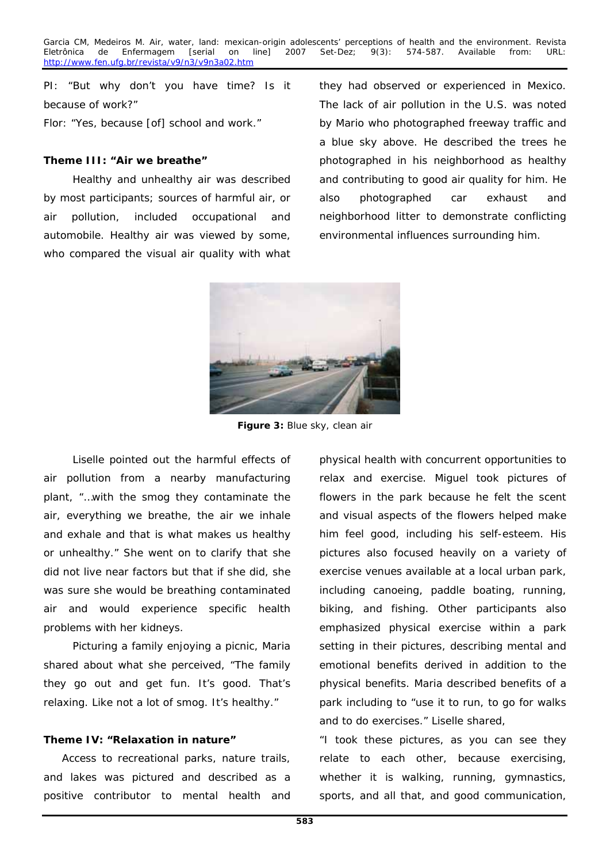*PI: "But why don't you have time? Is it because of work?" Flor: "Yes, because [of] school and work."* 

### **Theme III: "Air we breathe"**

Healthy and unhealthy air was described by most participants; sources of harmful air, or air pollution, included occupational and automobile. Healthy air was viewed by some, who compared the visual air quality with what

they had observed or experienced in Mexico. The lack of air pollution in the U.S. was noted by Mario who photographed freeway traffic and a blue sky above. He described the trees he photographed in his neighborhood as healthy and contributing to good air quality for him. He also photographed car exhaust and neighborhood litter to demonstrate conflicting environmental influences surrounding him.



**Figure 3:** Blue sky, clean air

Liselle pointed out the harmful effects of air pollution from a nearby manufacturing plant, "…with the smog they contaminate the air, everything we breathe, the air we inhale and exhale and that is what makes us healthy or unhealthy." She went on to clarify that she did not live near factors but that if she did, she was sure she would be breathing contaminated air and would experience specific health problems with her kidneys.

Picturing a family enjoying a picnic, Maria shared about what she perceived, "The family they go out and get fun. It's good. That's relaxing. Like not a lot of smog. It's healthy."

### **Theme IV: "Relaxation in nature"**

Access to recreational parks, nature trails, and lakes was pictured and described as a positive contributor to mental health and physical health with concurrent opportunities to relax and exercise. Miguel took pictures of flowers in the park because he felt the scent and visual aspects of the flowers helped make him feel good, including his self-esteem. His pictures also focused heavily on a variety of exercise venues available at a local urban park, including canoeing, paddle boating, running, biking, and fishing. Other participants also emphasized physical exercise within a park setting in their pictures, describing mental and emotional benefits derived in addition to the physical benefits. Maria described benefits of a park including to "use it to run, to go for walks and to do exercises." Liselle shared,

*"I took these pictures, as you can see they relate to each other, because exercising, whether it is walking, running, gymnastics, sports, and all that, and good communication,*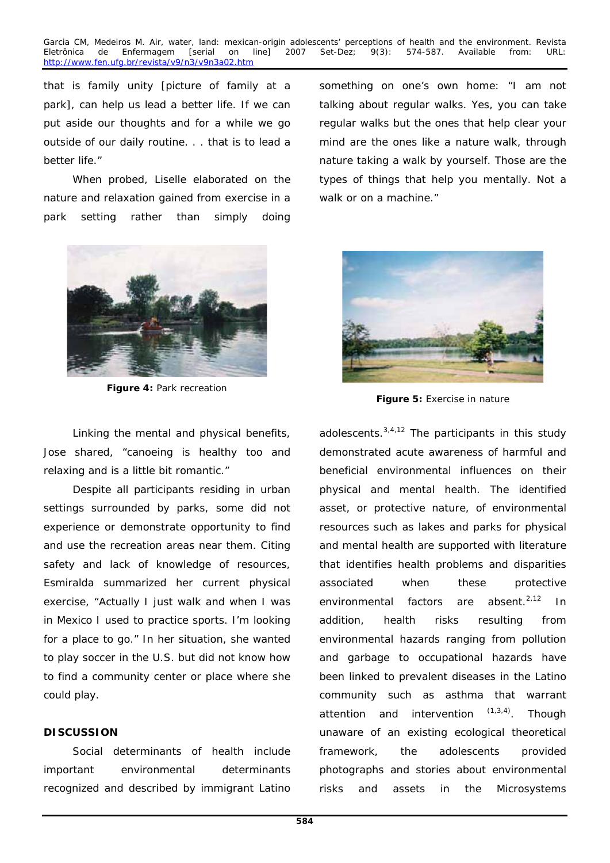*that is family unity [picture of family at a park], can help us lead a better life. If we can put aside our thoughts and for a while we go outside of our daily routine. . . that is to lead a better life."* 

When probed, Liselle elaborated on the nature and relaxation gained from exercise in a park setting rather than simply doing



**Figure 4:** Park recreation

Linking the mental and physical benefits, Jose shared, "canoeing is healthy too and relaxing and is a little bit romantic."

Despite all participants residing in urban settings surrounded by parks, some did not experience or demonstrate opportunity to find and use the recreation areas near them. Citing safety and lack of knowledge of resources, Esmiralda summarized her current physical exercise, "Actually I just walk and when I was in Mexico I used to practice sports. I'm looking for a place to go." In her situation, she wanted to play soccer in the U.S. but did not know how to find a community center or place where she could play.

### **DISCUSSION**

Social determinants of health include important environmental determinants recognized and described by immigrant Latino

something on one's own home: "I am not talking about regular walks. Yes, you can take regular walks but the ones that help clear your mind are the ones like a nature walk, through nature taking a walk by yourself. Those are the types of things that help you mentally. Not a walk or on a machine."



**Figure 5:** Exercise in nature

adolescents. $3,4,12$  The participants in this study demonstrated acute awareness of harmful and beneficial environmental influences on their physical and mental health. The identified asset, or protective nature, of environmental resources such as lakes and parks for physical and mental health are supported with literature that identifies health problems and disparities associated when these protective environmental factors are absent. $2,12$  In addition, health risks resulting from environmental hazards ranging from pollution and garbage to occupational hazards have been linked to prevalent diseases in the Latino community such as asthma that warrant attention and intervention  $(1,3,4)$ . Though unaware of an existing ecological theoretical framework, the adolescents provided photographs and stories about environmental risks and assets in the Microsystems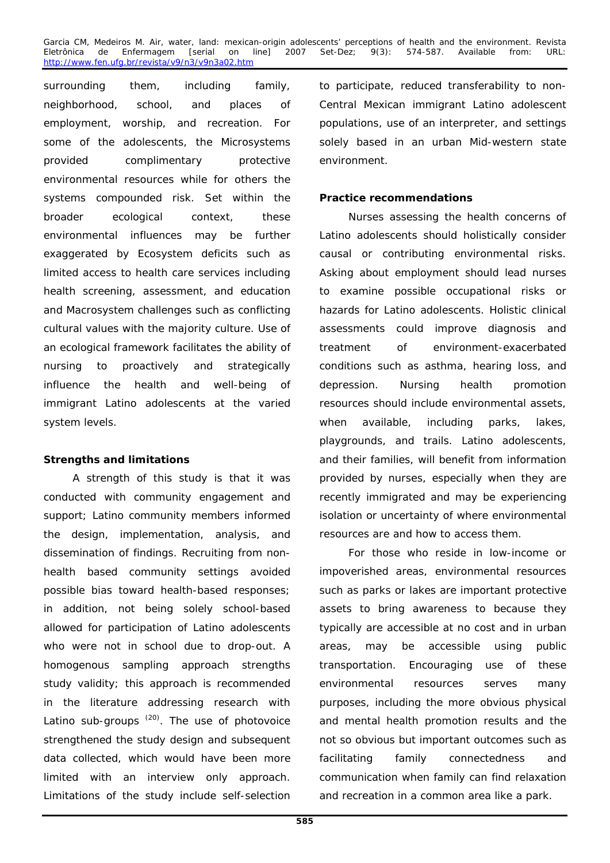surrounding them, including family, neighborhood, school, and places of employment, worship, and recreation. For some of the adolescents, the Microsystems provided complimentary protective environmental resources while for others the systems compounded risk. Set within the broader ecological context, these environmental influences may be further exaggerated by Ecosystem deficits such as limited access to health care services including health screening, assessment, and education and Macrosystem challenges such as conflicting cultural values with the majority culture. Use of an ecological framework facilitates the ability of nursing to proactively and strategically influence the health and well-being of immigrant Latino adolescents at the varied system levels.

### **Strengths and limitations**

A strength of this study is that it was conducted with community engagement and support; Latino community members informed the design, implementation, analysis, and dissemination of findings. Recruiting from nonhealth based community settings avoided possible bias toward health-based responses; in addition, not being solely school-based allowed for participation of Latino adolescents who were not in school due to drop-out. A homogenous sampling approach strengths study validity; this approach is recommended in the literature addressing research with Latino sub-groups  $(20)$ . The use of photovoice strengthened the study design and subsequent data collected, which would have been more limited with an interview only approach. Limitations of the study include self-selection

to participate, reduced transferability to non-Central Mexican immigrant Latino adolescent populations, use of an interpreter, and settings solely based in an urban Mid-western state environment.

### **Practice recommendations**

Nurses assessing the health concerns of Latino adolescents should holistically consider causal or contributing environmental risks. Asking about employment should lead nurses to examine possible occupational risks or hazards for Latino adolescents. Holistic clinical assessments could improve diagnosis and treatment of environment-exacerbated conditions such as asthma, hearing loss, and depression. Nursing health promotion resources should include environmental assets, when available, including parks, lakes, playgrounds, and trails. Latino adolescents, and their families, will benefit from information provided by nurses, especially when they are recently immigrated and may be experiencing isolation or uncertainty of where environmental resources are and how to access them.

For those who reside in low-income or impoverished areas, environmental resources such as parks or lakes are important protective assets to bring awareness to because they typically are accessible at no cost and in urban areas, may be accessible using public transportation. Encouraging use of these environmental resources serves many purposes, including the more obvious physical and mental health promotion results and the not so obvious but important outcomes such as facilitating family connectedness and communication when family can find relaxation and recreation in a common area like a park.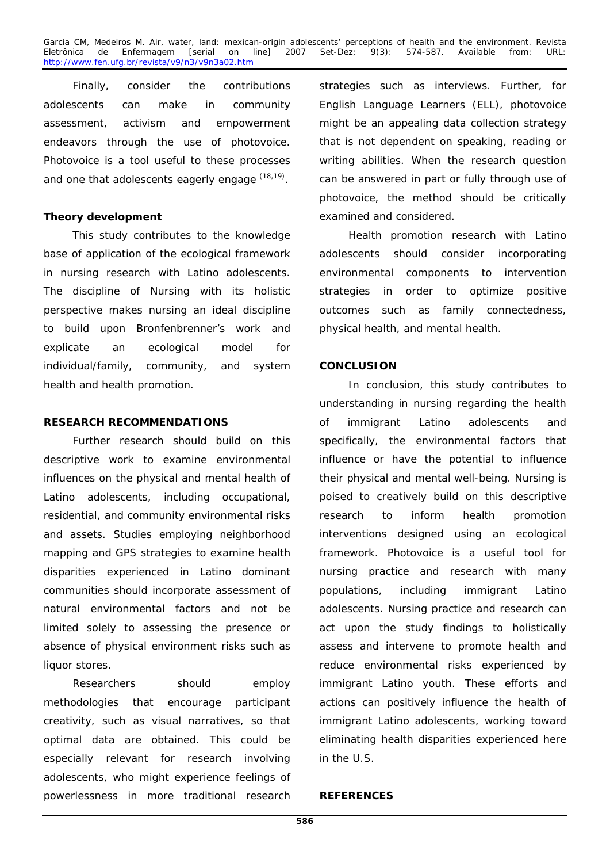Finally, consider the contributions adolescents can make in community assessment, activism and empowerment endeavors through the use of photovoice. Photovoice is a tool useful to these processes and one that adolescents eagerly engage (18,19).

### **Theory development**

This study contributes to the knowledge base of application of the ecological framework in nursing research with Latino adolescents. The discipline of Nursing with its holistic perspective makes nursing an ideal discipline to build upon Bronfenbrenner's work and explicate an ecological model for individual/family, community, and system health and health promotion.

### **RESEARCH RECOMMENDATIONS**

Further research should build on this descriptive work to examine environmental influences on the physical and mental health of Latino adolescents, including occupational, residential, and community environmental risks and assets. Studies employing neighborhood mapping and GPS strategies to examine health disparities experienced in Latino dominant communities should incorporate assessment of natural environmental factors and not be limited solely to assessing the presence or absence of physical environment risks such as liquor stores.

Researchers should employ methodologies that encourage participant creativity, such as visual narratives, so that optimal data are obtained. This could be especially relevant for research involving adolescents, who might experience feelings of powerlessness in more traditional research strategies such as interviews. Further, for English Language Learners (ELL), photovoice might be an appealing data collection strategy that is not dependent on speaking, reading or writing abilities. When the research question can be answered in part or fully through use of photovoice, the method should be critically examined and considered.

Health promotion research with Latino adolescents should consider incorporating environmental components to intervention strategies in order to optimize positive outcomes such as family connectedness, physical health, and mental health.

### **CONCLUSION**

In conclusion, this study contributes to understanding in nursing regarding the health of immigrant Latino adolescents and specifically, the environmental factors that influence or have the potential to influence their physical and mental well-being. Nursing is poised to creatively build on this descriptive research to inform health promotion interventions designed using an ecological framework. Photovoice is a useful tool for nursing practice and research with many populations, including immigrant Latino adolescents. Nursing practice and research can act upon the study findings to holistically assess and intervene to promote health and reduce environmental risks experienced by immigrant Latino youth. These efforts and actions can positively influence the health of immigrant Latino adolescents, working toward eliminating health disparities experienced here in the U.S.

### **REFERENCES**